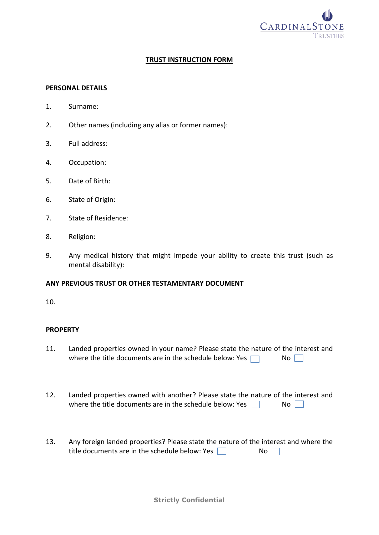

## **TRUST INSTRUCTION FORM**

#### **PERSONAL DETAILS**

- 1. Surname:
- 2. Other names (including any alias or former names):
- 3. Full address:
- 4. Occupation:
- 5. Date of Birth:
- 6. State of Origin:
- 7. State of Residence:
- 8. Religion:
- 9. Any medical history that might impede your ability to create this trust (such as mental disability):

#### **ANY PREVIOUS TRUST OR OTHER TESTAMENTARY DOCUMENT**

10.

#### **PROPERTY**

- 11. Landed properties owned in your name? Please state the nature of the interest and where the title documents are in the schedule below: Yes  $\Box$  No  $\Box$
- 12. Landed properties owned with another? Please state the nature of the interest and where the title documents are in the schedule below: Yes  $\Box$  No  $\Box$
- 13. Any foreign landed properties? Please state the nature of the interest and where the title documents are in the schedule below: Yes  $\Box$  No  $\Box$

**Strictly Confidential**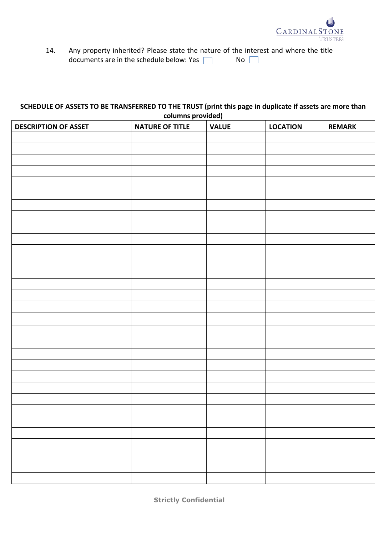

14. Any property inherited? Please state the nature of the interest and where the title documents are in the schedule below: Yes  $\Box$  No  $\Box$ 

## **SCHEDULE OF ASSETS TO BE TRANSFERRED TO THE TRUST (print this page in duplicate if assets are more than columns provided)**

| <b>DESCRIPTION OF ASSET</b> | <b>NATURE OF TITLE</b> | <b>VALUE</b> | <b>LOCATION</b> | <b>REMARK</b> |
|-----------------------------|------------------------|--------------|-----------------|---------------|
|                             |                        |              |                 |               |
|                             |                        |              |                 |               |
|                             |                        |              |                 |               |
|                             |                        |              |                 |               |
|                             |                        |              |                 |               |
|                             |                        |              |                 |               |
|                             |                        |              |                 |               |
|                             |                        |              |                 |               |
|                             |                        |              |                 |               |
|                             |                        |              |                 |               |
|                             |                        |              |                 |               |
|                             |                        |              |                 |               |
|                             |                        |              |                 |               |
|                             |                        |              |                 |               |
|                             |                        |              |                 |               |
|                             |                        |              |                 |               |
|                             |                        |              |                 |               |
|                             |                        |              |                 |               |
|                             |                        |              |                 |               |
|                             |                        |              |                 |               |
|                             |                        |              |                 |               |
|                             |                        |              |                 |               |
|                             |                        |              |                 |               |
|                             |                        |              |                 |               |
|                             |                        |              |                 |               |
|                             |                        |              |                 |               |
|                             |                        |              |                 |               |
|                             |                        |              |                 |               |
|                             |                        |              |                 |               |
|                             |                        |              |                 |               |
|                             |                        |              |                 |               |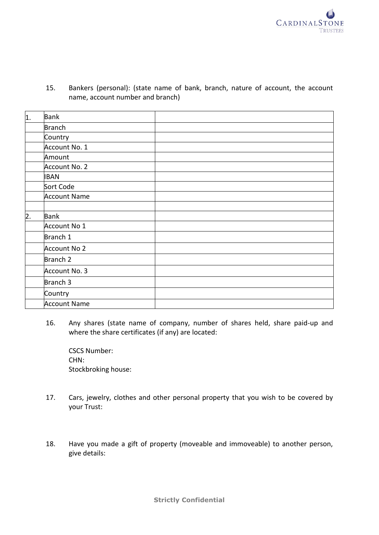

15. Bankers (personal): (state name of bank, branch, nature of account, the account name, account number and branch)

| 1. | <b>Bank</b>         |  |
|----|---------------------|--|
|    | <b>Branch</b>       |  |
|    | Country             |  |
|    | Account No. 1       |  |
|    | Amount              |  |
|    | Account No. 2       |  |
|    | <b>IBAN</b>         |  |
|    | Sort Code           |  |
|    | <b>Account Name</b> |  |
|    |                     |  |
| 2. | <b>Bank</b>         |  |
|    | Account No 1        |  |
|    | Branch 1            |  |
|    | <b>Account No 2</b> |  |
|    | Branch <sub>2</sub> |  |
|    | Account No. 3       |  |
|    | Branch 3            |  |
|    | Country             |  |
|    | <b>Account Name</b> |  |

16. Any shares (state name of company, number of shares held, share paid-up and where the share certificates (if any) are located:

CSCS Number: CHN: Stockbroking house:

- 17. Cars, jewelry, clothes and other personal property that you wish to be covered by your Trust:
- 18. Have you made a gift of property (moveable and immoveable) to another person, give details: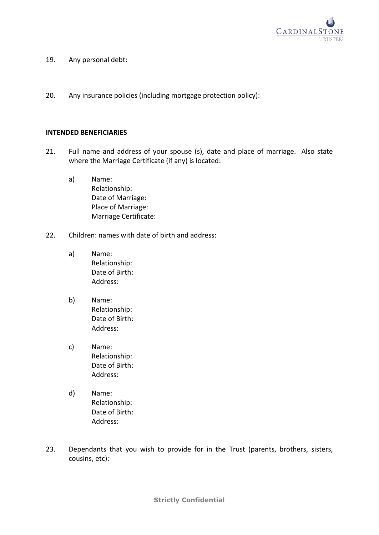

- 19. Any personal debt:
- 20. Any insurance policies (including mortgage protection policy):

### **INTENDED BENEFICIARIES**

- 21. Full name and address of your spouse (s), date and place of marriage. Also state where the Marriage Certificate (if any) is located:
	- a) Name: Relationship: Date of Marriage: Place of Marriage: Marriage Certificate:
- 22. Children: names with date of birth and address:
	- a) Name: Relationship: Date of Birth: Address:
	- b) Name: Relationship: Date of Birth: Address:
	- c) Name: Relationship: Date of Birth: Address:
	- d) Name: Relationship: Date of Birth: Address:
- 23. Dependants that you wish to provide for in the Trust (parents, brothers, sisters, cousins, etc):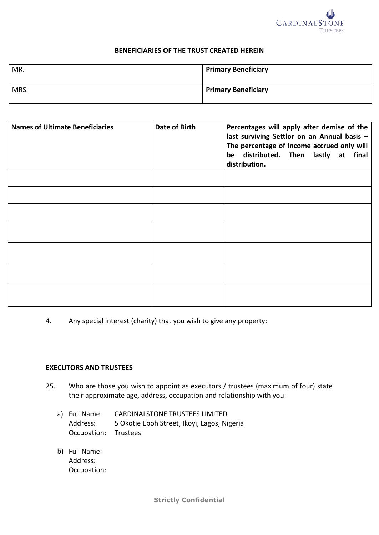

## **BENEFICIARIES OF THE TRUST CREATED HEREIN**

| MR.  | <b>Primary Beneficiary</b> |
|------|----------------------------|
| MRS. | <b>Primary Beneficiary</b> |

| <b>Names of Ultimate Beneficiaries</b> | Date of Birth | Percentages will apply after demise of the<br>last surviving Settlor on an Annual basis -<br>The percentage of income accrued only will<br>be distributed. Then lastly at<br>final<br>distribution. |
|----------------------------------------|---------------|-----------------------------------------------------------------------------------------------------------------------------------------------------------------------------------------------------|
|                                        |               |                                                                                                                                                                                                     |
|                                        |               |                                                                                                                                                                                                     |
|                                        |               |                                                                                                                                                                                                     |
|                                        |               |                                                                                                                                                                                                     |
|                                        |               |                                                                                                                                                                                                     |
|                                        |               |                                                                                                                                                                                                     |
|                                        |               |                                                                                                                                                                                                     |

4. Any special interest (charity) that you wish to give any property:

#### **EXECUTORS AND TRUSTEES**

- 25. Who are those you wish to appoint as executors / trustees (maximum of four) state their approximate age, address, occupation and relationship with you:
	- a) Full Name: CARDINALSTONE TRUSTEES LIMITED Address: 5 Okotie Eboh Street, Ikoyi, Lagos, Nigeria Occupation: Trustees
	- b) Full Name: Address: Occupation: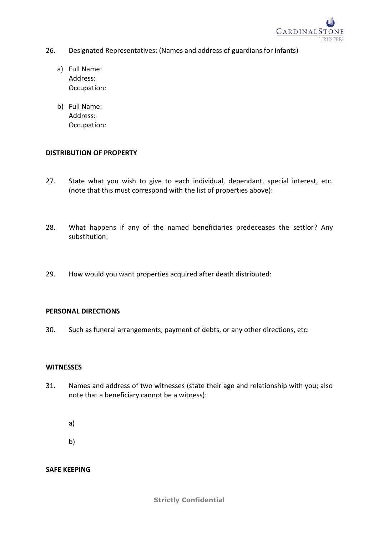

- 26. Designated Representatives: (Names and address of guardians for infants)
	- a) Full Name: Address: Occupation:
	- b) Full Name: Address: Occupation:

# **DISTRIBUTION OF PROPERTY**

- 27. State what you wish to give to each individual, dependant, special interest, etc. (note that this must correspond with the list of properties above):
- 28. What happens if any of the named beneficiaries predeceases the settlor? Any substitution:
- 29. How would you want properties acquired after death distributed:

# **PERSONAL DIRECTIONS**

30. Such as funeral arrangements, payment of debts, or any other directions, etc:

#### **WITNESSES**

- 31. Names and address of two witnesses (state their age and relationship with you; also note that a beneficiary cannot be a witness):
	- a)
	- b)

## **SAFE KEEPING**